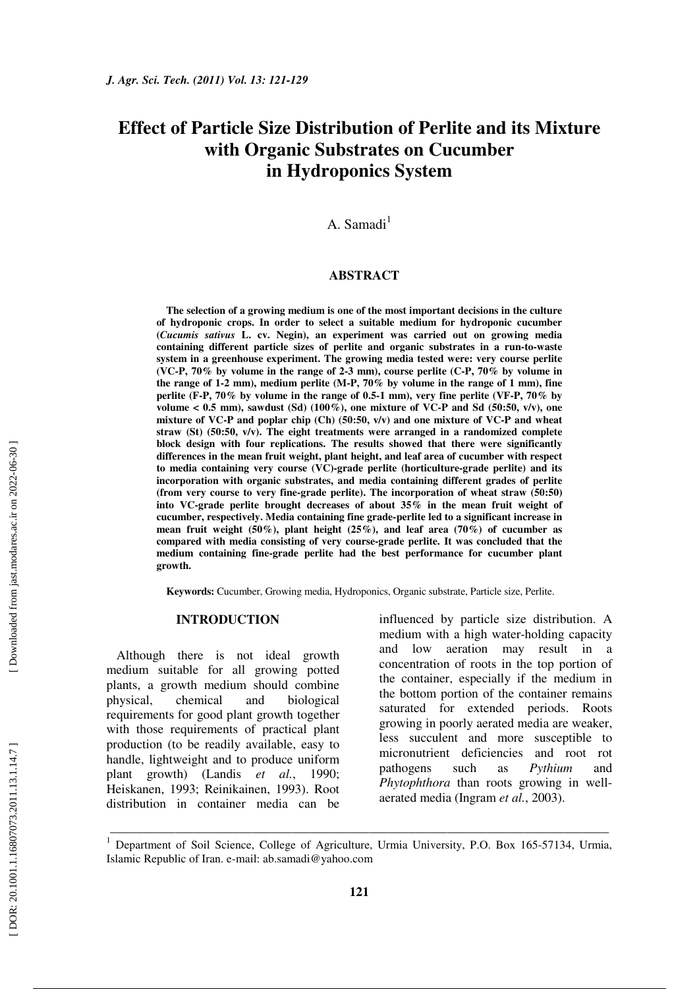# **Effect of Particle Size Distribution of Perlite and its Mixture with Organic Substrates on Cucumber in Hydroponics System**

A. Samadi<sup>1</sup>

## **ABSTRACT**

**The selection of a growing medium is one of the most important decisions in the culture of hydroponic crops. In order to select a suitable medium for hydroponic cucumber (***Cucumis sativus* **L. cv. Negin), an experiment was carried out on growing media containing different particle sizes of perlite and organic substrates in a run-to-waste system in a greenhouse experiment. The growing media tested were: very course perlite (VC-P, 70% by volume in the range of 2-3 mm), course perlite (C-P, 70% by volume in the range of 1-2 mm), medium perlite (M-P, 70% by volume in the range of 1 mm), fine perlite (F-P, 70% by volume in the range of 0.5-1 mm), very fine perlite (VF-P, 70% by**  volume  $< 0.5$  mm), sawdust (Sd) (100%), one mixture of VC-P and Sd (50:50, v/v), one **mixture of VC-P and poplar chip (Ch) (50:50, v/v) and one mixture of VC-P and wheat straw (St) (50:50, v/v). The eight treatments were arranged in a randomized complete block design with four replications. The results showed that there were significantly differences in the mean fruit weight, plant height, and leaf area of cucumber with respect to media containing very course (VC)-grade perlite (horticulture-grade perlite) and its incorporation with organic substrates, and media containing different grades of perlite (from very course to very fine-grade perlite). The incorporation of wheat straw (50:50) into VC-grade perlite brought decreases of about 35% in the mean fruit weight of cucumber, respectively. Media containing fine grade-perlite led to a significant increase in mean fruit weight (50%), plant height (25%), and leaf area (70%) of cucumber as compared with media consisting of very course-grade perlite. It was concluded that the medium containing fine-grade perlite had the best performance for cucumber plant growth.** 

**Keywords:** Cucumber, Growing media, Hydroponics, Organic substrate, Particle size, Perlite.

#### **INTRODUCTION**

Although there is not ideal growth medium suitable for all growing potted plants, a growth medium should combine physical, chemical and biological requirements for good plant growth together with those requirements of practical plant production (to be readily available, easy to handle, lightweight and to produce uniform plant growth) (Landis *et al.*, 1990; Heiskanen, 1993; Reinikainen, 1993). Root distribution in container media can be influenced by particle size distribution. A medium with a high water-holding capacity and low aeration may result in a concentration of roots in the top portion of the container, especially if the medium in the bottom portion of the container remains saturated for extended periods. Roots growing in poorly aerated media are weaker, less succulent and more susceptible to micronutrient deficiencies and root rot pathogens such as *Pythium* and *Phytophthora* than roots growing in wellaerated media (Ingram *et al.*, 2003).

\_\_\_\_\_\_\_\_\_\_\_\_\_\_\_\_\_\_\_\_\_\_\_\_\_\_\_\_\_\_\_\_\_\_\_\_\_\_\_\_\_\_\_\_\_\_\_\_\_\_\_\_\_\_\_\_\_\_\_\_\_\_\_\_\_\_\_\_\_\_\_\_\_\_\_\_\_

<sup>&</sup>lt;sup>1</sup> Department of Soil Science, College of Agriculture, Urmia University, P.O. Box 165-57134, Urmia, Islamic Republic of Iran. e-mail: ab.samadi@yahoo.com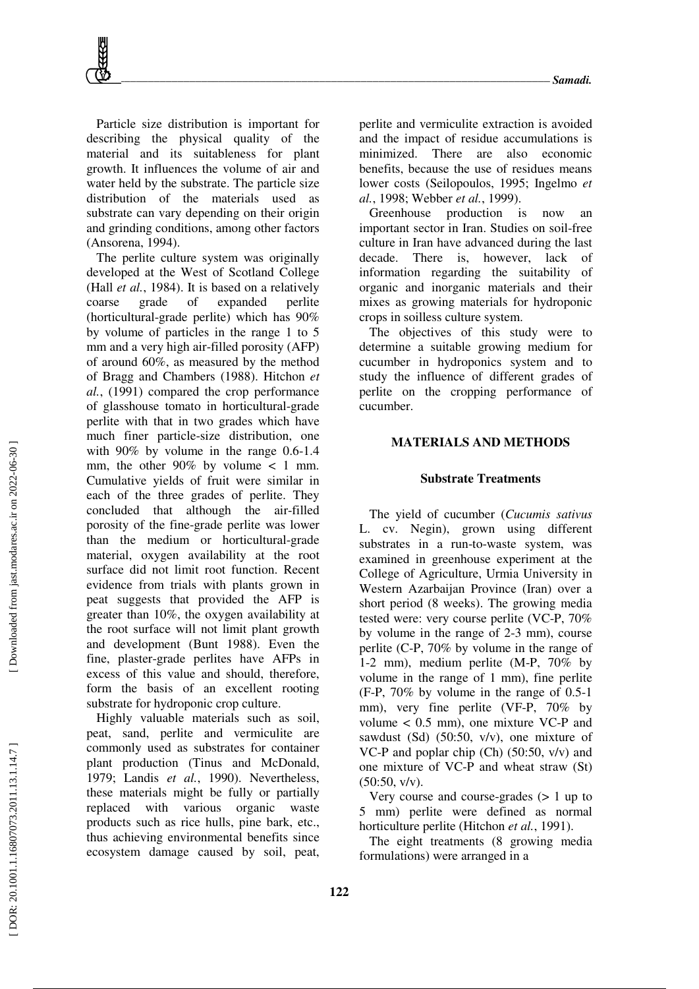Particle size distribution is important for describing the physical quality of the material and its suitableness for plant growth. It influences the volume of air and water held by the substrate. The particle size distribution of the materials used as substrate can vary depending on their origin and grinding conditions, among other factors (Ansorena, 1994).

The perlite culture system was originally developed at the West of Scotland College (Hall *et al.*, 1984). It is based on a relatively coarse grade of expanded perlite (horticultural-grade perlite) which has 90% by volume of particles in the range 1 to 5 mm and a very high air-filled porosity (AFP) of around 60%, as measured by the method of Bragg and Chambers (1988). Hitchon *et al.*, (1991) compared the crop performance of glasshouse tomato in horticultural-grade perlite with that in two grades which have much finer particle-size distribution, one with 90% by volume in the range 0.6-1.4 mm, the other  $90\%$  by volume  $\lt$  1 mm. Cumulative yields of fruit were similar in each of the three grades of perlite. They concluded that although the air-filled porosity of the fine-grade perlite was lower than the medium or horticultural-grade material, oxygen availability at the root surface did not limit root function. Recent evidence from trials with plants grown in peat suggests that provided the AFP is greater than 10%, the oxygen availability at the root surface will not limit plant growth and development (Bunt 1988). Even the fine, plaster-grade perlites have AFPs in excess of this value and should, therefore, form the basis of an excellent rooting substrate for hydroponic crop culture.

Highly valuable materials such as soil, peat, sand, perlite and vermiculite are commonly used as substrates for container plant production (Tinus and McDonald, 1979; Landis *et al.*, 1990). Nevertheless, these materials might be fully or partially replaced with various organic waste products such as rice hulls, pine bark, etc., thus achieving environmental benefits since ecosystem damage caused by soil, peat, perlite and vermiculite extraction is avoided and the impact of residue accumulations is minimized. There are also economic benefits, because the use of residues means lower costs (Seilopoulos, 1995; Ingelmo *et al.*, 1998; Webber *et al.*, 1999).

Greenhouse production is now an important sector in Iran. Studies on soil-free culture in Iran have advanced during the last decade. There is, however, lack of information regarding the suitability of organic and inorganic materials and their mixes as growing materials for hydroponic crops in soilless culture system.

The objectives of this study were to determine a suitable growing medium for cucumber in hydroponics system and to study the influence of different grades of perlite on the cropping performance of cucumber.

## **MATERIALS AND METHODS**

#### **Substrate Treatments**

The yield of cucumber (*Cucumis sativus* L. cv. Negin), grown using different substrates in a run-to-waste system, was examined in greenhouse experiment at the College of Agriculture, Urmia University in Western Azarbaijan Province (Iran) over a short period (8 weeks). The growing media tested were: very course perlite (VC-P, 70% by volume in the range of 2-3 mm), course perlite (C-P, 70% by volume in the range of 1-2 mm), medium perlite (M-P, 70% by volume in the range of 1 mm), fine perlite (F-P, 70% by volume in the range of 0.5-1 mm), very fine perlite (VF-P, 70% by volume < 0.5 mm), one mixture VC-P and sawdust (Sd) (50:50, v/v), one mixture of VC-P and poplar chip (Ch) (50:50, v/v) and one mixture of VC-P and wheat straw (St)  $(50:50, v/v)$ .

Very course and course-grades (> 1 up to 5 mm) perlite were defined as normal horticulture perlite (Hitchon *et al.*, 1991).

The eight treatments (8 growing media formulations) were arranged in a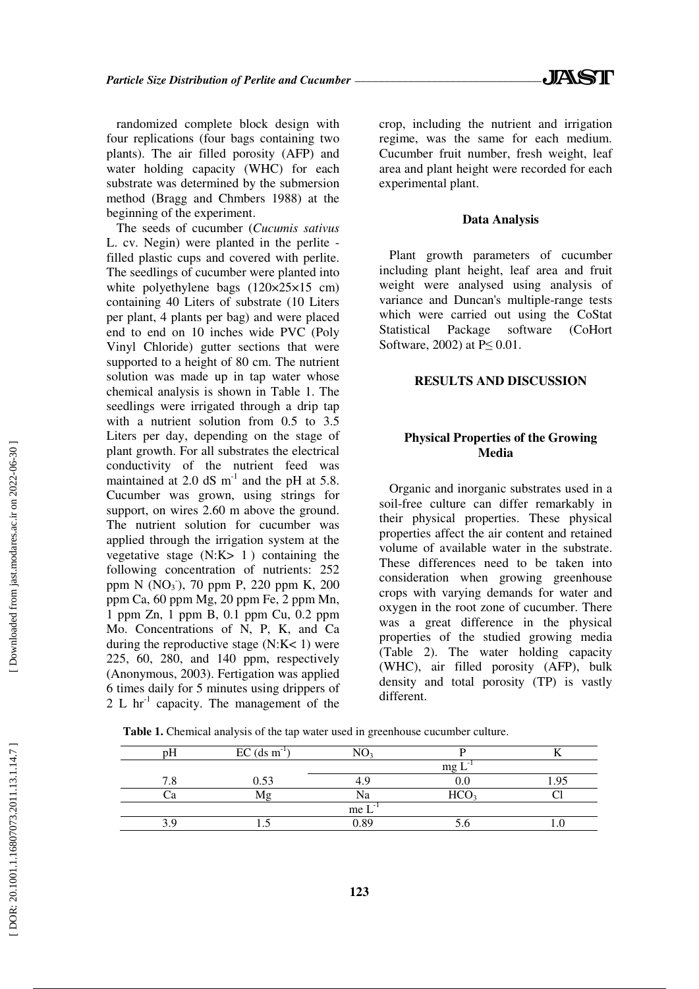randomized complete block design with four replications (four bags containing two plants). The air filled porosity (AFP) and water holding capacity (WHC) for each substrate was determined by the submersion method (Bragg and Chmbers 1988) at the beginning of the experiment.

The seeds of cucumber (*Cucumis sativus* L. cv. Negin) were planted in the perlite filled plastic cups and covered with perlite. The seedlings of cucumber were planted into white polyethylene bags (120×25×15 cm) containing 40 Liters of substrate (10 Liters per plant, 4 plants per bag) and were placed end to end on 10 inches wide PVC (Poly Vinyl Chloride) gutter sections that were supported to a height of 80 cm. The nutrient solution was made up in tap water whose chemical analysis is shown in Table 1. The seedlings were irrigated through a drip tap with a nutrient solution from 0.5 to 3.5 Liters per day, depending on the stage of plant growth. For all substrates the electrical conductivity of the nutrient feed was maintained at 2.0 dS  $m^{-1}$  and the pH at 5.8. Cucumber was grown, using strings for support, on wires 2.60 m above the ground. The nutrient solution for cucumber was applied through the irrigation system at the vegetative stage  $(N:K> 1)$  containing the following concentration of nutrients: 252 ppm N (NO<sub>3</sub><sup>-</sup>), 70 ppm P, 220 ppm K, 200 ppm Ca, 60 ppm Mg, 20 ppm Fe, 2 ppm Mn, 1 ppm Zn, 1 ppm B, 0.1 ppm Cu, 0.2 ppm Mo. Concentrations of N, P, K, and Ca during the reproductive stage  $(N:K<1)$  were 225, 60, 280, and 140 ppm, respectively (Anonymous, 2003). Fertigation was applied 6 times daily for 5 minutes using drippers of 2 L  $\text{hr}^{-1}$  capacity. The management of the

crop, including the nutrient and irrigation regime, was the same for each medium. Cucumber fruit number, fresh weight, leaf area and plant height were recorded for each experimental plant.

## **Data Analysis**

Plant growth parameters of cucumber including plant height, leaf area and fruit weight were analysed using analysis of variance and Duncan's multiple-range tests which were carried out using the CoStat Statistical Package software (CoHort Software, 2002) at  $P \leq 0.01$ .

# **RESULTS AND DISCUSSION**

# **Physical Properties of the Growing Media**

Organic and inorganic substrates used in a soil-free culture can differ remarkably in their physical properties. These physical properties affect the air content and retained volume of available water in the substrate. These differences need to be taken into consideration when growing greenhouse crops with varying demands for water and oxygen in the root zone of cucumber. There was a great difference in the physical properties of the studied growing media (Table 2). The water holding capacity (WHC), air filled porosity (AFP), bulk density and total porosity (TP) is vastly different.

| рH  | $EC$ (ds m <sup>-1</sup> | NO                               |                  |  |
|-----|--------------------------|----------------------------------|------------------|--|
|     |                          |                                  | mg               |  |
| 7.8 | 0.53                     |                                  |                  |  |
| ்я  | M₫                       | Na                               | HCO <sub>3</sub> |  |
|     |                          | me L<br>$\overline{\phantom{a}}$ |                  |  |
|     |                          | 0.89                             |                  |  |
|     |                          |                                  |                  |  |

**Table 1.** Chemical analysis of the tap water used in greenhouse cucumber culture.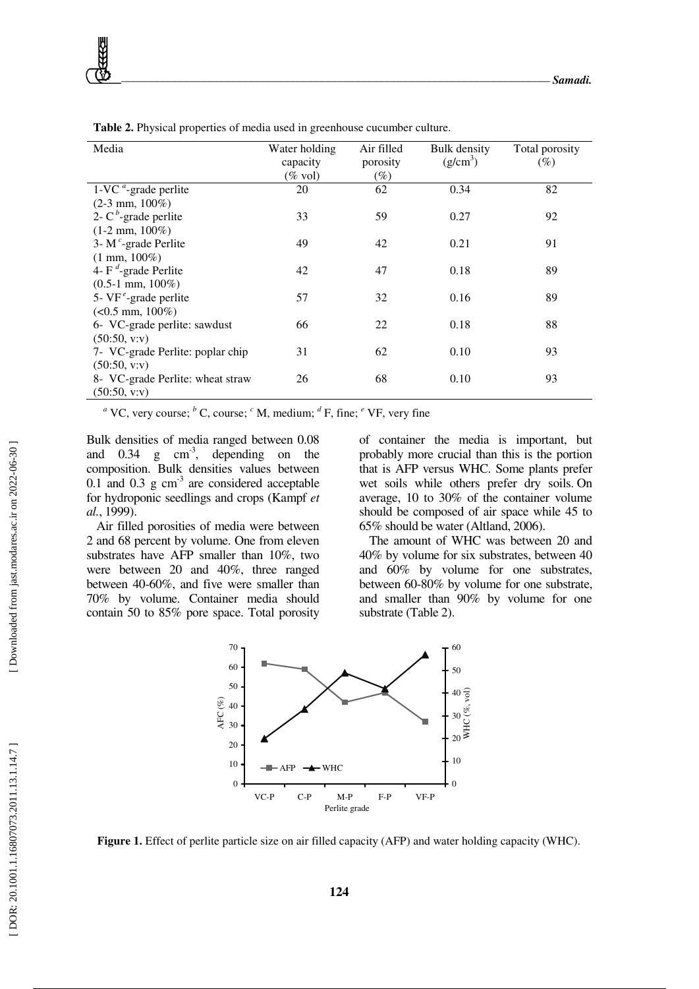| Media                                            | Water holding | Air filled | Bulk density | Total porosity |
|--------------------------------------------------|---------------|------------|--------------|----------------|
|                                                  | capacity      | porosity   | $(g/cm^3)$   | $(\%)$         |
|                                                  | $(\%$ vol)    | $(\%)$     |              |                |
| $1$ -VC <sup><math>a</math></sup> -grade perlite | 20            | 62         | 0.34         | 82             |
| $(2-3$ mm, $100\%)$                              |               |            |              |                |
| 2- $C^b$ -grade perlite                          | 33            | 59         | 0.27         | 92             |
| $(1-2$ mm, $100\%)$                              |               |            |              |                |
| 3- $M^c$ -grade Perlite                          | 49            | 42         | 0.21         | 91             |
| $(1 \text{ mm}, 100\%)$                          |               |            |              |                |
| 4- $F^d$ -grade Perlite                          | 42            | 47         | 0.18         | 89             |
| $(0.5-1$ mm, $100\%)$                            |               |            |              |                |
| 5- $VF^e$ -grade perlite                         | 57            | 32         | 0.16         | 89             |
| $(<0.5$ mm, $100\%)$                             |               |            |              |                |
| 6- VC-grade perlite: sawdust                     | 66            | 22         | 0.18         | 88             |
| (50:50, v:v)                                     |               |            |              |                |
| 7- VC-grade Perlite: poplar chip                 | 31            | 62         | 0.10         | 93             |
| (50:50, v:v)                                     |               |            |              |                |
| 8- VC-grade Perlite: wheat straw                 | 26            | 68         | 0.10         | 93             |
| (50:50, v:v)                                     |               |            |              |                |

**Table 2.** Physical properties of media used in greenhouse cucumber culture.

<sup>*a*</sup> VC, very course; <sup>*b*</sup> C, course; <sup>*c*</sup> M, medium; <sup>*d*</sup> F, fine; <sup>*e*</sup> VF, very fine

Bulk densities of media ranged between 0.08 and  $0.34$  g  $cm^{-3}$ , depending on the composition. Bulk densities values between 0.1 and 0.3 g  $cm<sup>3</sup>$  are considered acceptable for hydroponic seedlings and crops (Kampf *et al.*, 1999).

Air filled porosities of media were between 2 and 68 percent by volume. One from eleven substrates have AFP smaller than 10%, two were between 20 and 40%, three ranged between 40-60%, and five were smaller than 70% by volume. Container media should contain 50 to 85% pore space. Total porosity of container the media is important, but probably more crucial than this is the portion that is AFP versus WHC. Some plants prefer wet soils while others prefer dry soils. On average, 10 to 30% of the container volume should be composed of air space while 45 to 65% should be water (Altland, 2006).

The amount of WHC was between 20 and 40% by volume for six substrates, between 40 and 60% by volume for one substrates, between 60-80% by volume for one substrate, and smaller than 90% by volume for one substrate (Table 2).



**Figure 1.** Effect of perlite particle size on air filled capacity (AFP) and water holding capacity (WHC).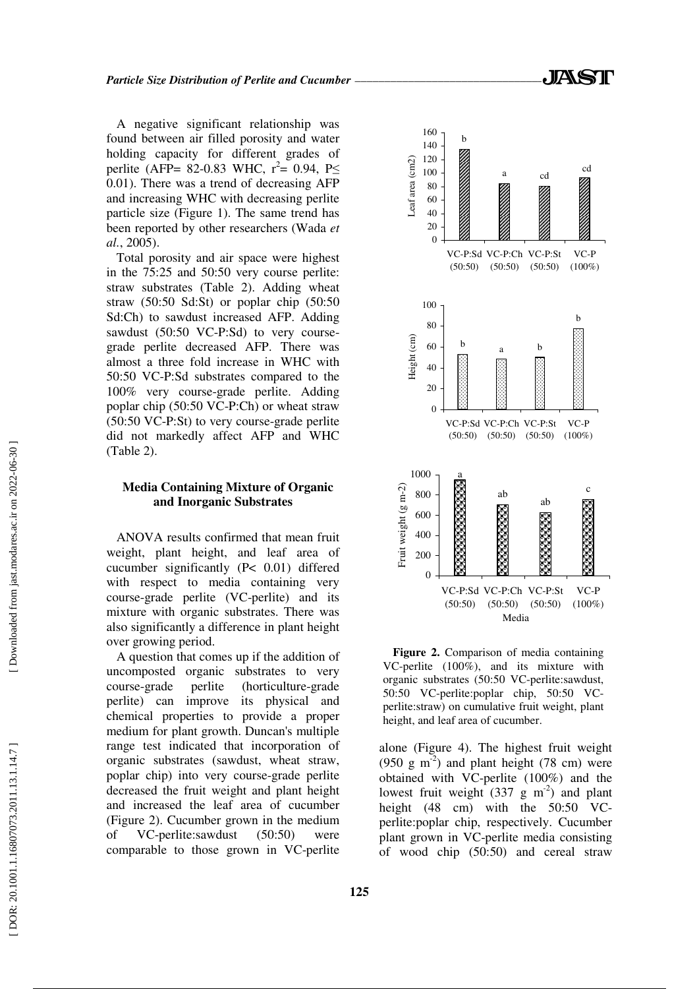A negative significant relationship was found between air filled porosity and water holding capacity for different grades of perlite (AFP= 82-0.83 WHC,  $r^2 = 0.94$ , P $\leq$ 0.01). There was a trend of decreasing AFP and increasing WHC with decreasing perlite particle size (Figure 1). The same trend has been reported by other researchers (Wada *et al.*, 2005).

Total porosity and air space were highest in the 75:25 and 50:50 very course perlite: straw substrates (Table 2). Adding wheat straw (50:50 Sd:St) or poplar chip (50:50 Sd:Ch) to sawdust increased AFP. Adding sawdust (50:50 VC-P:Sd) to very coursegrade perlite decreased AFP. There was almost a three fold increase in WHC with 50:50 VC-P:Sd substrates compared to the 100% very course-grade perlite. Adding poplar chip (50:50 VC-P:Ch) or wheat straw (50:50 VC-P:St) to very course-grade perlite did not markedly affect AFP and WHC (Table 2).

## **Media Containing Mixture of Organic and Inorganic Substrates**

ANOVA results confirmed that mean fruit weight, plant height, and leaf area of cucumber significantly (P< 0.01) differed with respect to media containing very course-grade perlite (VC-perlite) and its mixture with organic substrates. There was also significantly a difference in plant height over growing period.

A question that comes up if the addition of uncomposted organic substrates to very course-grade perlite (horticulture-grade perlite) can improve its physical and chemical properties to provide a proper medium for plant growth. Duncan's multiple range test indicated that incorporation of organic substrates (sawdust, wheat straw, poplar chip) into very course-grade perlite decreased the fruit weight and plant height and increased the leaf area of cucumber (Figure 2). Cucumber grown in the medium of VC-perlite:sawdust (50:50) were comparable to those grown in VC-perlite



**Figure 2.** Comparison of media containing VC-perlite (100%), and its mixture with organic substrates (50:50 VC-perlite:sawdust, 50:50 VC-perlite:poplar chip, 50:50 VCperlite:straw) on cumulative fruit weight, plant height, and leaf area of cucumber.

alone (Figure 4). The highest fruit weight  $(950 \text{ g m}^{-2})$  and plant height (78 cm) were obtained with VC-perlite (100%) and the lowest fruit weight  $(337 \text{ g m}^{-2})$  and plant height (48 cm) with the 50:50 VCperlite:poplar chip, respectively. Cucumber plant grown in VC-perlite media consisting of wood chip (50:50) and cereal straw

[Downloaded from jast.modares.ac.ir on 2022-06-30]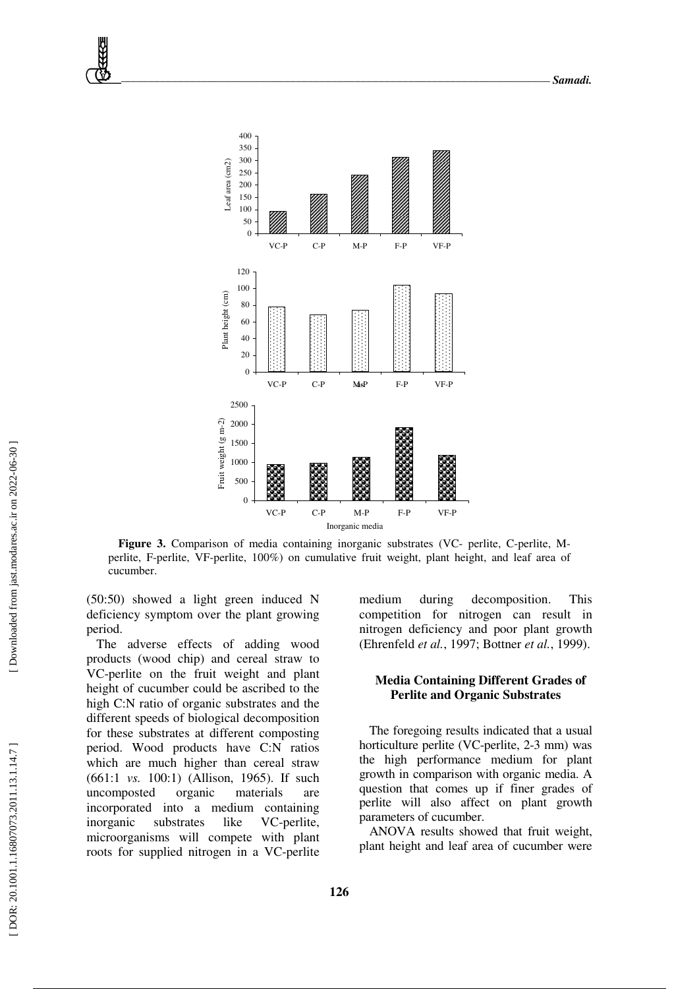

**Figure 3.** Comparison of media containing inorganic substrates (VC- perlite, C-perlite, Mperlite, F-perlite, VF-perlite, 100%) on cumulative fruit weight, plant height, and leaf area of cucumber.

(50:50) showed a light green induced N deficiency symptom over the plant growing period.

The adverse effects of adding wood products (wood chip) and cereal straw to VC-perlite on the fruit weight and plant height of cucumber could be ascribed to the high C:N ratio of organic substrates and the different speeds of biological decomposition for these substrates at different composting period. Wood products have C:N ratios which are much higher than cereal straw (661:1 *vs.* 100:1) (Allison, 1965). If such uncomposted organic materials are incorporated into a medium containing inorganic substrates like VC-perlite, microorganisms will compete with plant roots for supplied nitrogen in a VC-perlite medium during decomposition. This competition for nitrogen can result in nitrogen deficiency and poor plant growth (Ehrenfeld *et al.*, 1997; Bottner *et al.*, 1999).

# **Media Containing Different Grades of Perlite and Organic Substrates**

The foregoing results indicated that a usual horticulture perlite (VC-perlite, 2-3 mm) was the high performance medium for plant growth in comparison with organic media. A question that comes up if finer grades of perlite will also affect on plant growth parameters of cucumber.

ANOVA results showed that fruit weight, plant height and leaf area of cucumber were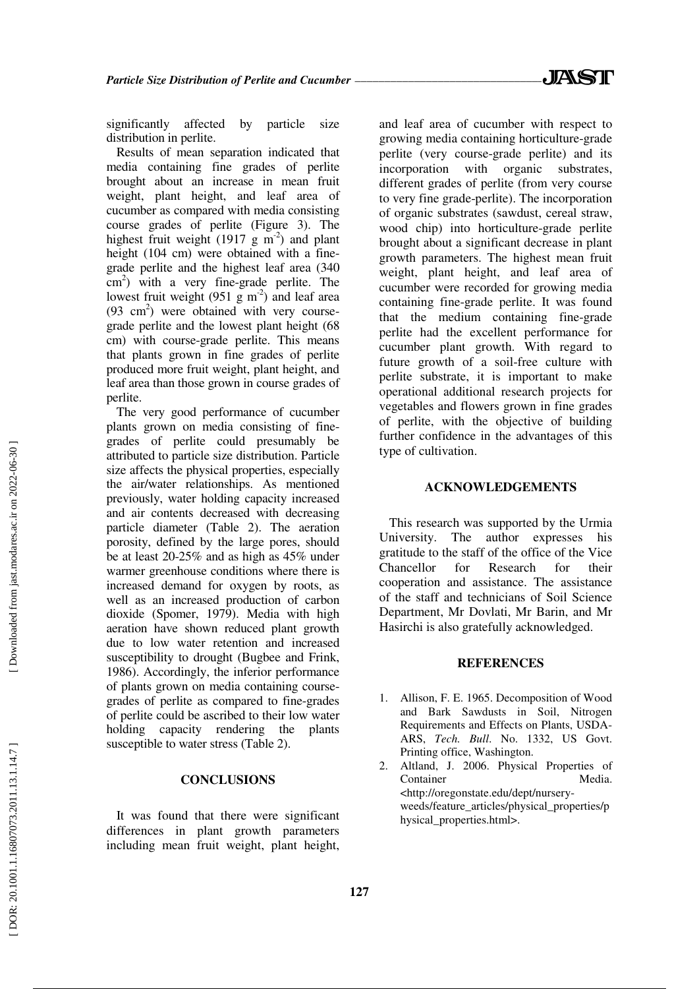significantly affected by particle size distribution in perlite.

Results of mean separation indicated that media containing fine grades of perlite brought about an increase in mean fruit weight, plant height, and leaf area of cucumber as compared with media consisting course grades of perlite (Figure 3). The highest fruit weight (1917 g  $m^{-2}$ ) and plant height (104 cm) were obtained with a finegrade perlite and the highest leaf area (340 cm<sup>2</sup>) with a very fine-grade perlite. The lowest fruit weight (951 g  $m<sup>-2</sup>$ ) and leaf area (93 cm<sup>2</sup>) were obtained with very coursegrade perlite and the lowest plant height (68 cm) with course-grade perlite. This means that plants grown in fine grades of perlite produced more fruit weight, plant height, and leaf area than those grown in course grades of perlite.

The very good performance of cucumber plants grown on media consisting of finegrades of perlite could presumably be attributed to particle size distribution. Particle size affects the physical properties, especially the air/water relationships. As mentioned previously, water holding capacity increased and air contents decreased with decreasing particle diameter (Table 2). The aeration porosity, defined by the large pores, should be at least 20-25% and as high as 45% under warmer greenhouse conditions where there is increased demand for oxygen by roots, as well as an increased production of carbon dioxide (Spomer, 1979). Media with high aeration have shown reduced plant growth due to low water retention and increased susceptibility to drought (Bugbee and Frink, 1986). Accordingly, the inferior performance of plants grown on media containing coursegrades of perlite as compared to fine-grades of perlite could be ascribed to their low water holding capacity rendering the plants susceptible to water stress (Table 2).

## **CONCLUSIONS**

It was found that there were significant differences in plant growth parameters including mean fruit weight, plant height,

and leaf area of cucumber with respect to growing media containing horticulture-grade perlite (very course-grade perlite) and its incorporation with organic substrates, different grades of perlite (from very course to very fine grade-perlite). The incorporation of organic substrates (sawdust, cereal straw, wood chip) into horticulture-grade perlite brought about a significant decrease in plant growth parameters. The highest mean fruit weight, plant height, and leaf area of cucumber were recorded for growing media containing fine-grade perlite. It was found that the medium containing fine-grade perlite had the excellent performance for cucumber plant growth. With regard to future growth of a soil-free culture with perlite substrate, it is important to make operational additional research projects for vegetables and flowers grown in fine grades of perlite, with the objective of building further confidence in the advantages of this type of cultivation.

#### **ACKNOWLEDGEMENTS**

This research was supported by the Urmia University. The author expresses his gratitude to the staff of the office of the Vice Chancellor for Research for their cooperation and assistance. The assistance of the staff and technicians of Soil Science Department, Mr Dovlati, Mr Barin, and Mr Hasirchi is also gratefully acknowledged.

## **REFERENCES**

- 1. Allison, F. E. 1965. Decomposition of Wood and Bark Sawdusts in Soil, Nitrogen Requirements and Effects on Plants, USDA-ARS, *Tech. Bull*. No. 1332, US Govt. Printing office, Washington.
- 2. Altland, J. 2006. Physical Properties of Container Media. <http://oregonstate.edu/dept/nurseryweeds/feature\_articles/physical\_properties/p hysical\_properties.html>.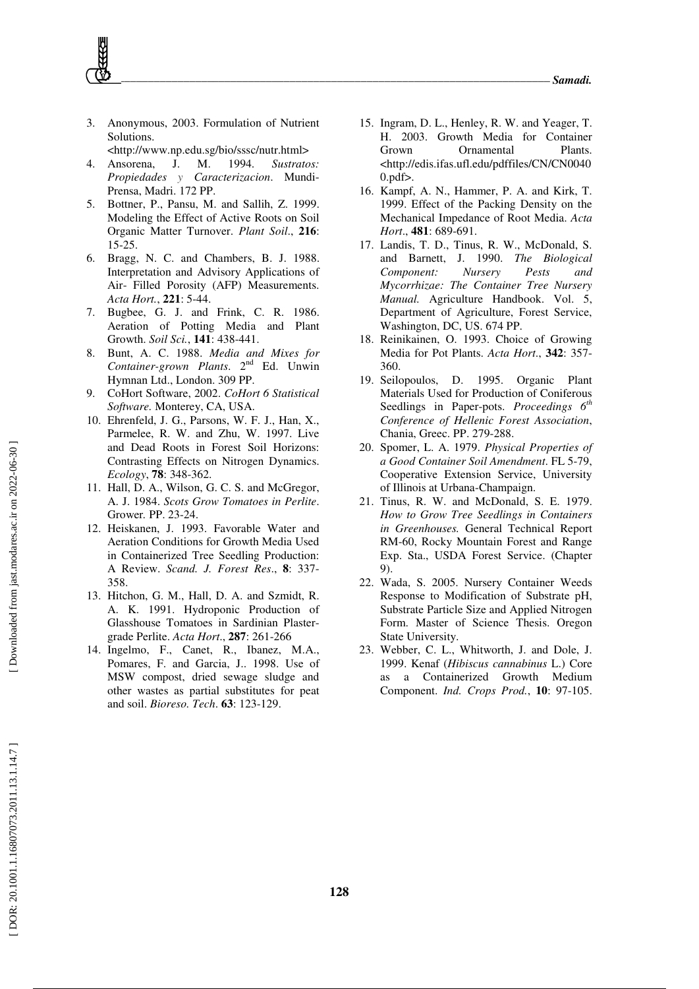3. Anonymous, 2003. Formulation of Nutrient Solutions.

<http://www.np.edu.sg/bio/sssc/nutr.html>

- 4. Ansorena, J. M. 1994. *Sustratos: Propiedades y Caracterizacion*. Mundi-Prensa, Madri. 172 PP.
- 5. Bottner, P., Pansu, M. and Sallih, Z. 1999. Modeling the Effect of Active Roots on Soil Organic Matter Turnover. *Plant Soil*., **216**: 15-25.
- 6. Bragg, N. C. and Chambers, B. J. 1988. Interpretation and Advisory Applications of Air- Filled Porosity (AFP) Measurements. *Acta Hort.*, **221**: 5-44.
- 7. Bugbee, G. J. and Frink, C. R. 1986. Aeration of Potting Media and Plant Growth. *Soil Sci.* , **141**: 438-441.
- 8. Bunt, A. C. 1988. *Media and Mixes for Container-grown Plants*. 2nd Ed. Unwin Hymnan Ltd., London. 309 PP.
- 9. CoHort Software, 2002. *CoHort 6 Statistical Software.* Monterey, CA, USA.
- 10. Ehrenfeld, J. G., Parsons, W. F. J., Han, X., Parmelee, R. W. and Zhu, W. 1997. Live and Dead Roots in Forest Soil Horizons: Contrasting Effects on Nitrogen Dynamics. *Ecology*, **78**: 348-362.
- 11. Hall, D. A., Wilson, G. C. S. and McGregor, A. J. 1984. *Scots Grow Tomatoes in Perlite*. Grower *.* PP. 23-24.
- 12. Heiskanen, J. 1993. Favorable Water and Aeration Conditions for Growth Media Used in Containerized Tree Seedling Production: A Review. *Scand. J. Forest Res*., **8**: 337- 358.
- 13. Hitchon, G. M., Hall, D. A. and Szmidt, R. A. K. 1991. Hydroponic Production of Glasshouse Tomatoes in Sardinian Plastergrade Perlite. *Acta Hort*., **287**: 261-266
- 14. Ingelmo, F., Canet, R., Ibanez, M.A., Pomares, F. and Garcia, J.. 1998. Use of MSW compost, dried sewage sludge and other wastes as partial substitutes for peat and soil. *Bioreso. Tech*. **63**: 123-129.
- 15. Ingram, D. L., Henley, R. W. and Yeager, T. H. 2003. Growth Media for Container Grown Ornamental Plants. <http://edis.ifas.ufl.edu/pdffiles/CN/CN0040  $0.$ pdf $>$ .
- 16. Kampf, A. N., Hammer, P. A. and Kirk, T. 1999. Effect of the Packing Density on the Mechanical Impedance of Root Media. *Acta Hort*., **481**: 689-691.
- 17. Landis, T. D., Tinus, R. W., McDonald, S. and Barnett, J. 1990. *The Biological Component: Nursery Pests and Mycorrhizae: The Container Tree Nursery Manual.* Agriculture Handbook. Vol. 5, Department of Agriculture, Forest Service, Washington, DC, US. 674 PP.
- 18. Reinikainen, O. 1993. Choice of Growing Media for Pot Plants. *Acta Hort*., **342**: 357- 360.
- 19. Seilopoulos, D. 1995. Organic Plant Materials Used for Production of Coniferous Seedlings in Paper-pots. *Proceedings 6th Conference of Hellenic Forest Association*, Chania, Greec. PP. 279-288.
- 20. Spomer, L. A. 1979. *Physical Properties of a Good Container Soil Amendment*. FL 5-79, Cooperative Extension Service, University of Illinois at Urbana-Champaign.
- 21. Tinus, R. W. and McDonald, S. E. 1979. *How to Grow Tree Seedlings in Containers in Greenhouses.* General Technical Report RM-60, Rocky Mountain Forest and Range Exp. Sta., USDA Forest Service. (Chapter 9).
- 22. Wada, S. 2005. Nursery Container Weeds Response to Modification of Substrate pH, Substrate Particle Size and Applied Nitrogen Form. Master of Science Thesis. Oregon State University.
- 23. Webber, C. L., Whitworth, J. and Dole, J. 1999. Kenaf (*Hibiscus cannabinus* L.) Core as a Containerized Growth Medium Component. *Ind. Crops Prod.*, **10**: 97-105.